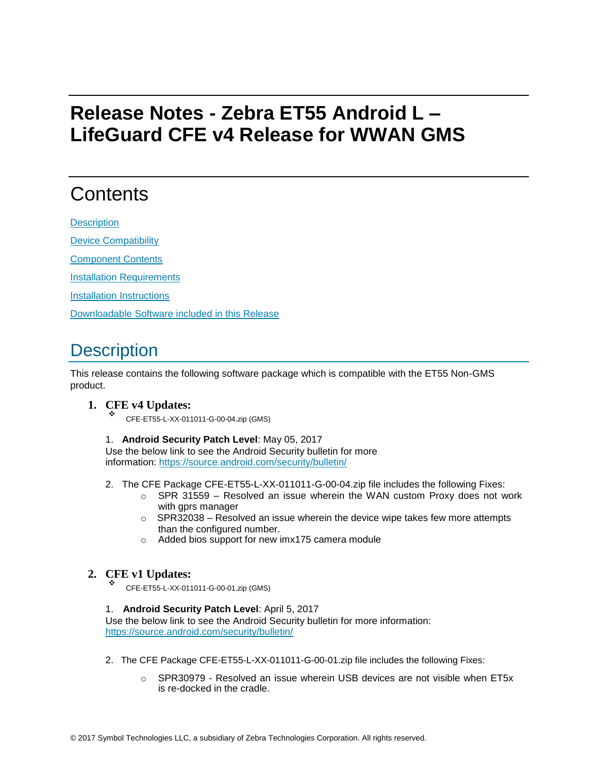# <span id="page-0-0"></span>**Release Notes - Zebra ET55 Android L – LifeGuard CFE v4 Release for WWAN GMS**

## **Contents**

**[Description](#page-0-0)** 

[Device Compatibility](#page-1-0)

[Component Contents](#page-1-0)

[Installation Requirements](#page-1-0)

[Installation Instructions](#page-1-0)

[Downloadable Software included in this Release](#page-3-0)

# **Description**

This release contains the following software package which is compatible with the ET55 Non-GMS product.

#### **1. CFE v4 Updates:**

CFE-ET55-L-XX-011011-G-00-04.zip (GMS)

1. **Android Security Patch Level**: May 05, 2017

Use the below link to see the Android Security bulletin for more information:<https://source.android.com/security/bulletin/>

- 2. The CFE Package CFE-ET55-L-XX-011011-G-00-04.zip file includes the following Fixes:
	- $\circ$  SPR 31559 Resolved an issue wherein the WAN custom Proxy does not work with gprs manager
	- $\circ$  SPR32038 Resolved an issue wherein the device wipe takes few more attempts than the configured number.
	- o Added bios support for new imx175 camera module

#### **2. CFE v1 Updates:**

CFE-ET55-L-XX-011011-G-00-01.zip (GMS)

1. **Android Security Patch Level**: April 5, 2017

Use the below link to see the Android Security bulletin for more information: <https://source.android.com/security/bulletin/>

- 2. The CFE Package CFE-ET55-L-XX-011011-G-00-01.zip file includes the following Fixes:
	- o SPR30979 Resolved an issue wherein USB devices are not visible when ET5x is re-docked in the cradle.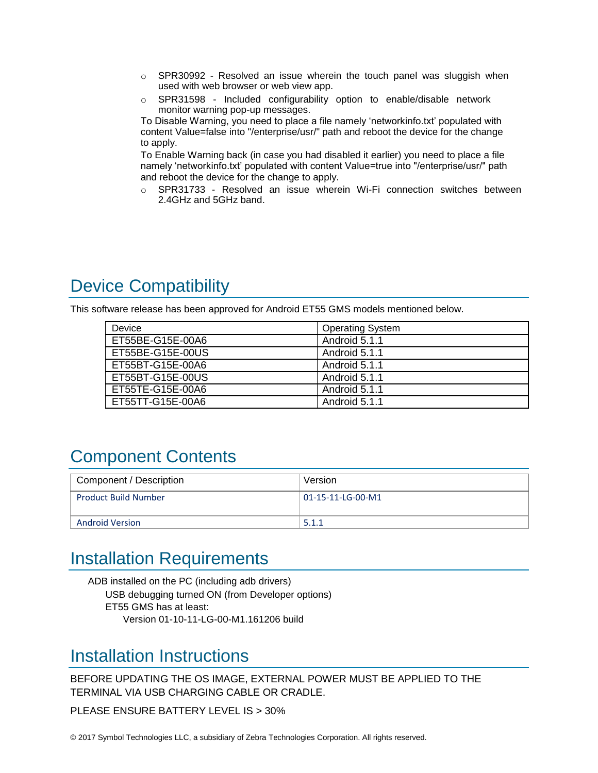- <span id="page-1-0"></span>o SPR30992 - Resolved an issue wherein the touch panel was sluggish when used with web browser or web view app.
- $\circ$  SPR31598 Included configurability option to enable/disable network monitor warning pop-up messages.

To Disable Warning, you need to place a file namely 'networkinfo.txt' populated with content Value=false into "/enterprise/usr/" path and reboot the device for the change to apply.

To Enable Warning back (in case you had disabled it earlier) you need to place a file namely 'networkinfo.txt' populated with content Value=true into "/enterprise/usr/" path and reboot the device for the change to apply.

o SPR31733 - Resolved an issue wherein Wi-Fi connection switches between 2.4GHz and 5GHz band.

# Device Compatibility

This software release has been approved for Android ET55 GMS models mentioned below.

| Device           | <b>Operating System</b> |
|------------------|-------------------------|
| ET55BE-G15E-00A6 | Android 5.1.1           |
| ET55BE-G15E-00US | Android 5.1.1           |
| ET55BT-G15E-00A6 | Android 5.1.1           |
| ET55BT-G15E-00US | Android 5.1.1           |
| ET55TE-G15E-00A6 | Android 5.1.1           |
| ET55TT-G15E-00A6 | Android 5.1.1           |

## Component Contents

| Component / Description     | Version           |
|-----------------------------|-------------------|
| <b>Product Build Number</b> | 01-15-11-LG-00-M1 |
| <b>Android Version</b>      | 5.1.1             |

### Installation Requirements

ADB installed on the PC (including adb drivers) USB debugging turned ON (from Developer options) ET55 GMS has at least: Version 01-10-11-LG-00-M1.161206 build

### Installation Instructions

BEFORE UPDATING THE OS IMAGE, EXTERNAL POWER MUST BE APPLIED TO THE TERMINAL VIA USB CHARGING CABLE OR CRADLE.

PLEASE ENSURE BATTERY LEVEL IS > 30%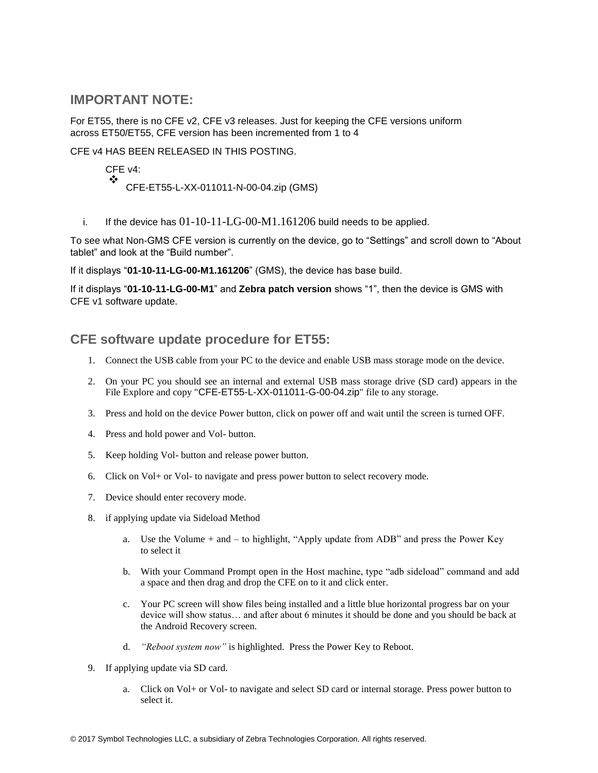#### **IMPORTANT NOTE:**

For ET55, there is no CFE v2, CFE v3 releases. Just for keeping the CFE versions uniform across ET50/ET55, CFE version has been incremented from 1 to 4

CFE v4 HAS BEEN RELEASED IN THIS POSTING.

CFE v4: ❖ CFE-ET55-L-XX-011011-N-00-04.zip (GMS)

i. If the device has  $01$ -10-11-LG-00-M1.161206 build needs to be applied.

To see what Non-GMS CFE version is currently on the device, go to "Settings" and scroll down to "About tablet" and look at the "Build number".

If it displays "**01-10-11-LG-00-M1.161206**" (GMS), the device has base build.

If it displays "**01-10-11-LG-00-M1**" and **Zebra patch version** shows "1", then the device is GMS with CFE v1 software update.

#### **CFE software update procedure for ET55:**

- 1. Connect the USB cable from your PC to the device and enable USB mass storage mode on the device.
- 2. On your PC you should see an internal and external USB mass storage drive (SD card) appears in the File Explore and copy "CFE-ET55-L-XX-011011-G-00-04.zip" file to any storage.
- 3. Press and hold on the device Power button, click on power off and wait until the screen is turned OFF.
- 4. Press and hold power and Vol- button.
- 5. Keep holding Vol- button and release power button.
- 6. Click on Vol+ or Vol- to navigate and press power button to select recovery mode.
- 7. Device should enter recovery mode.
- 8. if applying update via Sideload Method
	- a. Use the Volume + and to highlight, "Apply update from ADB" and press the Power Key to select it
	- b. With your Command Prompt open in the Host machine, type "adb sideload" command and add a space and then drag and drop the CFE on to it and click enter.
	- c. Your PC screen will show files being installed and a little blue horizontal progress bar on your device will show status… and after about 6 minutes it should be done and you should be back at the Android Recovery screen.
	- d. *"Reboot system now"* is highlighted. Press the Power Key to Reboot.
- 9. If applying update via SD card.
	- a. Click on Vol+ or Vol- to navigate and select SD card or internal storage. Press power button to select it.